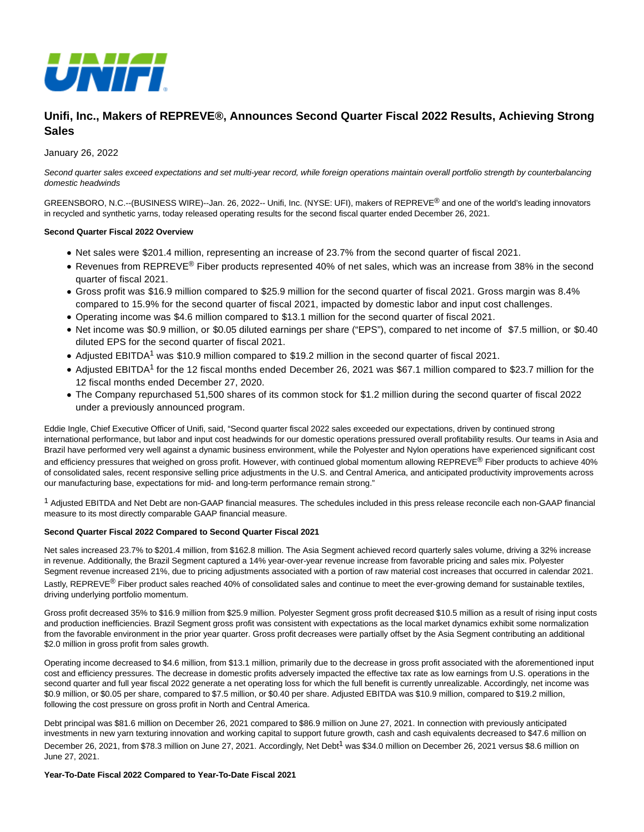

# **Unifi, Inc., Makers of REPREVE®, Announces Second Quarter Fiscal 2022 Results, Achieving Strong Sales**

### January 26, 2022

Second quarter sales exceed expectations and set multi-year record, while foreign operations maintain overall portfolio strength by counterbalancing domestic headwinds

GREENSBORO, N.C.--(BUSINESS WIRE)--Jan. 26, 2022-- Unifi, Inc. (NYSE: UFI), makers of REPREVE® and one of the world's leading innovators in recycled and synthetic yarns, today released operating results for the second fiscal quarter ended December 26, 2021.

### **Second Quarter Fiscal 2022 Overview**

- Net sales were \$201.4 million, representing an increase of 23.7% from the second quarter of fiscal 2021.
- Revenues from REPREVE<sup>®</sup> Fiber products represented 40% of net sales, which was an increase from 38% in the second quarter of fiscal 2021.
- Gross profit was \$16.9 million compared to \$25.9 million for the second quarter of fiscal 2021. Gross margin was 8.4% compared to 15.9% for the second quarter of fiscal 2021, impacted by domestic labor and input cost challenges.
- Operating income was \$4.6 million compared to \$13.1 million for the second quarter of fiscal 2021.
- Net income was \$0.9 million, or \$0.05 diluted earnings per share ("EPS"), compared to net income of \$7.5 million, or \$0.40 diluted EPS for the second quarter of fiscal 2021.
- Adjusted EBITDA<sup>1</sup> was \$10.9 million compared to \$19.2 million in the second quarter of fiscal 2021.
- Adjusted EBITDA<sup>1</sup> for the 12 fiscal months ended December 26, 2021 was \$67.1 million compared to \$23.7 million for the 12 fiscal months ended December 27, 2020.
- The Company repurchased 51,500 shares of its common stock for \$1.2 million during the second quarter of fiscal 2022 under a previously announced program.

Eddie Ingle, Chief Executive Officer of Unifi, said, "Second quarter fiscal 2022 sales exceeded our expectations, driven by continued strong international performance, but labor and input cost headwinds for our domestic operations pressured overall profitability results. Our teams in Asia and Brazil have performed very well against a dynamic business environment, while the Polyester and Nylon operations have experienced significant cost and efficiency pressures that weighed on gross profit. However, with continued global momentum allowing REPREVE® Fiber products to achieve 40% of consolidated sales, recent responsive selling price adjustments in the U.S. and Central America, and anticipated productivity improvements across our manufacturing base, expectations for mid- and long-term performance remain strong."

1 Adjusted EBITDA and Net Debt are non-GAAP financial measures. The schedules included in this press release reconcile each non-GAAP financial measure to its most directly comparable GAAP financial measure.

### **Second Quarter Fiscal 2022 Compared to Second Quarter Fiscal 2021**

Net sales increased 23.7% to \$201.4 million, from \$162.8 million. The Asia Segment achieved record quarterly sales volume, driving a 32% increase in revenue. Additionally, the Brazil Segment captured a 14% year-over-year revenue increase from favorable pricing and sales mix. Polyester Segment revenue increased 21%, due to pricing adjustments associated with a portion of raw material cost increases that occurred in calendar 2021. Lastly, REPREVE<sup>®</sup> Fiber product sales reached 40% of consolidated sales and continue to meet the ever-growing demand for sustainable textiles, driving underlying portfolio momentum.

Gross profit decreased 35% to \$16.9 million from \$25.9 million. Polyester Segment gross profit decreased \$10.5 million as a result of rising input costs and production inefficiencies. Brazil Segment gross profit was consistent with expectations as the local market dynamics exhibit some normalization from the favorable environment in the prior year quarter. Gross profit decreases were partially offset by the Asia Segment contributing an additional \$2.0 million in gross profit from sales growth.

Operating income decreased to \$4.6 million, from \$13.1 million, primarily due to the decrease in gross profit associated with the aforementioned input cost and efficiency pressures. The decrease in domestic profits adversely impacted the effective tax rate as low earnings from U.S. operations in the second quarter and full year fiscal 2022 generate a net operating loss for which the full benefit is currently unrealizable. Accordingly, net income was \$0.9 million, or \$0.05 per share, compared to \$7.5 million, or \$0.40 per share. Adjusted EBITDA was \$10.9 million, compared to \$19.2 million, following the cost pressure on gross profit in North and Central America.

Debt principal was \$81.6 million on December 26, 2021 compared to \$86.9 million on June 27, 2021. In connection with previously anticipated investments in new yarn texturing innovation and working capital to support future growth, cash and cash equivalents decreased to \$47.6 million on December 26, 2021, from \$78.3 million on June 27, 2021. Accordingly, Net Debt<sup>1</sup> was \$34.0 million on December 26, 2021 versus \$8.6 million on June 27, 2021.

### **Year-To-Date Fiscal 2022 Compared to Year-To-Date Fiscal 2021**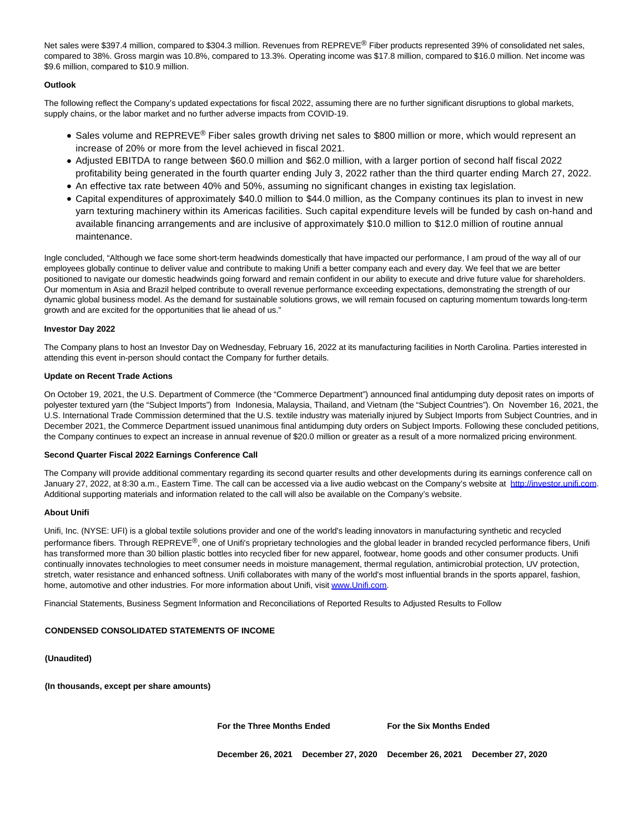Net sales were \$397.4 million, compared to \$304.3 million. Revenues from REPREVE® Fiber products represented 39% of consolidated net sales, compared to 38%. Gross margin was 10.8%, compared to 13.3%. Operating income was \$17.8 million, compared to \$16.0 million. Net income was \$9.6 million, compared to \$10.9 million.

### **Outlook**

The following reflect the Company's updated expectations for fiscal 2022, assuming there are no further significant disruptions to global markets, supply chains, or the labor market and no further adverse impacts from COVID-19.

- Sales volume and REPREVE<sup>®</sup> Fiber sales growth driving net sales to \$800 million or more, which would represent an increase of 20% or more from the level achieved in fiscal 2021.
- Adjusted EBITDA to range between \$60.0 million and \$62.0 million, with a larger portion of second half fiscal 2022 profitability being generated in the fourth quarter ending July 3, 2022 rather than the third quarter ending March 27, 2022.
- An effective tax rate between 40% and 50%, assuming no significant changes in existing tax legislation.
- Capital expenditures of approximately \$40.0 million to \$44.0 million, as the Company continues its plan to invest in new yarn texturing machinery within its Americas facilities. Such capital expenditure levels will be funded by cash on-hand and available financing arrangements and are inclusive of approximately \$10.0 million to \$12.0 million of routine annual maintenance.

Ingle concluded, "Although we face some short-term headwinds domestically that have impacted our performance, I am proud of the way all of our employees globally continue to deliver value and contribute to making Unifi a better company each and every day. We feel that we are better positioned to navigate our domestic headwinds going forward and remain confident in our ability to execute and drive future value for shareholders. Our momentum in Asia and Brazil helped contribute to overall revenue performance exceeding expectations, demonstrating the strength of our dynamic global business model. As the demand for sustainable solutions grows, we will remain focused on capturing momentum towards long-term growth and are excited for the opportunities that lie ahead of us."

### **Investor Day 2022**

The Company plans to host an Investor Day on Wednesday, February 16, 2022 at its manufacturing facilities in North Carolina. Parties interested in attending this event in-person should contact the Company for further details.

#### **Update on Recent Trade Actions**

On October 19, 2021, the U.S. Department of Commerce (the "Commerce Department") announced final antidumping duty deposit rates on imports of polyester textured yarn (the "Subject Imports") from Indonesia, Malaysia, Thailand, and Vietnam (the "Subject Countries"). On November 16, 2021, the U.S. International Trade Commission determined that the U.S. textile industry was materially injured by Subject Imports from Subject Countries, and in December 2021, the Commerce Department issued unanimous final antidumping duty orders on Subject Imports. Following these concluded petitions, the Company continues to expect an increase in annual revenue of \$20.0 million or greater as a result of a more normalized pricing environment.

### **Second Quarter Fiscal 2022 Earnings Conference Call**

The Company will provide additional commentary regarding its second quarter results and other developments during its earnings conference call on January 27, 2022, at 8:30 a.m., Eastern Time. The call can be accessed via a live audio webcast on the Company's website at [http://investor.unifi.com.](https://cts.businesswire.com/ct/CT?id=smartlink&url=http%3A%2F%2Finvestor.unifi.com&esheet=52569112&newsitemid=20220126005733&lan=en-US&anchor=http%3A%2F%2Finvestor.unifi.com&index=1&md5=8958b36c90dd4e7f45f1ef5204902130) Additional supporting materials and information related to the call will also be available on the Company's website.

### **About Unifi**

Unifi, Inc. (NYSE: UFI) is a global textile solutions provider and one of the world's leading innovators in manufacturing synthetic and recycled performance fibers. Through REPREVE<sup>®</sup>, one of Unifi's proprietary technologies and the global leader in branded recycled performance fibers, Unifi has transformed more than 30 billion plastic bottles into recycled fiber for new apparel, footwear, home goods and other consumer products. Unifi continually innovates technologies to meet consumer needs in moisture management, thermal regulation, antimicrobial protection, UV protection, stretch, water resistance and enhanced softness. Unifi collaborates with many of the world's most influential brands in the sports apparel, fashion, home, automotive and other industries. For more information about Unifi, visi[t www.Unifi.com.](https://cts.businesswire.com/ct/CT?id=smartlink&url=http%3A%2F%2Fwww.Unifi.com&esheet=52569112&newsitemid=20220126005733&lan=en-US&anchor=www.Unifi.com&index=2&md5=f5ed2d7619a48fbbc95b2ea8b4da604d)

Financial Statements, Business Segment Information and Reconciliations of Reported Results to Adjusted Results to Follow

### **CONDENSED CONSOLIDATED STATEMENTS OF INCOME**

**(Unaudited)**

**(In thousands, except per share amounts)**

**For the Three Months Ended For the Six Months Ended**

**December 26, 2021 December 27, 2020 December 26, 2021 December 27, 2020**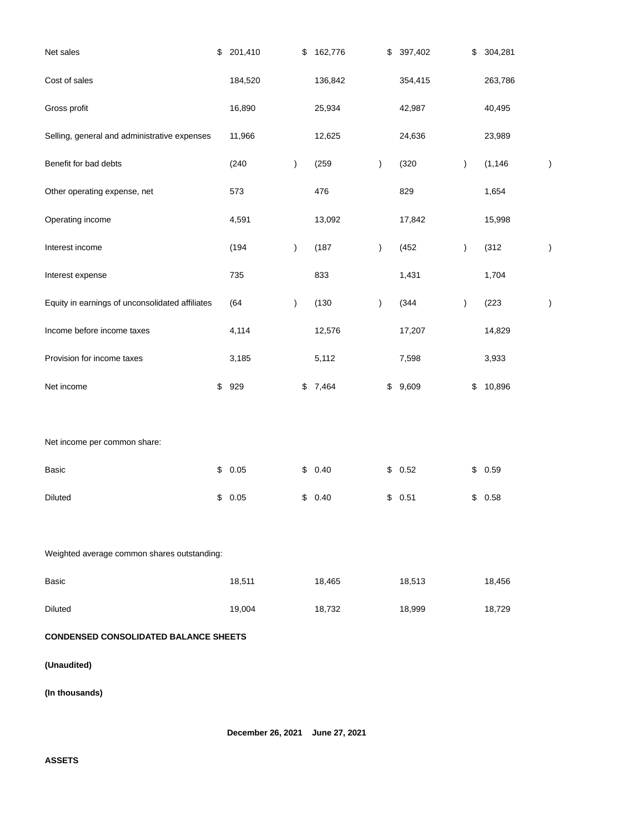| Net sales                                       | \$<br>201,410 | \$            | 162,776 |               | \$<br>397,402 | \$            | 304,281  |               |
|-------------------------------------------------|---------------|---------------|---------|---------------|---------------|---------------|----------|---------------|
| Cost of sales                                   | 184,520       |               | 136,842 |               | 354,415       |               | 263,786  |               |
| Gross profit                                    | 16,890        |               | 25,934  |               | 42,987        |               | 40,495   |               |
| Selling, general and administrative expenses    | 11,966        |               | 12,625  |               | 24,636        |               | 23,989   |               |
| Benefit for bad debts                           | (240)         | $\lambda$     | (259)   | $\mathcal{E}$ | (320)         | $\mathcal{L}$ | (1, 146) | $\big)$       |
| Other operating expense, net                    | 573           |               | 476     |               | 829           |               | 1,654    |               |
| Operating income                                | 4,591         |               | 13,092  |               | 17,842        |               | 15,998   |               |
| Interest income                                 | (194)         | $\mathcal{E}$ | (187)   | $\lambda$     | (452)         | $\mathcal{E}$ | (312)    | $\mathcal{E}$ |
| Interest expense                                | 735           |               | 833     |               | 1,431         |               | 1,704    |               |
| Equity in earnings of unconsolidated affiliates | (64)          | $\mathcal{E}$ | (130)   | $\lambda$     | (344)         | $\mathcal{E}$ | (223)    | $\big)$       |
| Income before income taxes                      | 4,114         |               | 12,576  |               | 17,207        |               | 14,829   |               |
| Provision for income taxes                      | 3,185         |               | 5,112   |               | 7,598         |               | 3,933    |               |
| Net income                                      | \$<br>929     | \$            | 7,464   |               | \$<br>9,609   | \$            | 10,896   |               |
|                                                 |               |               |         |               |               |               |          |               |
| Net income per common share:                    |               |               |         |               |               |               |          |               |
| Basic                                           | \$<br>0.05    | \$            | 0.40    |               | \$<br>0.52    | \$            | 0.59     |               |
| <b>Diluted</b>                                  | \$<br>0.05    | \$            | 0.40    |               | \$<br>0.51    | \$            | 0.58     |               |
|                                                 |               |               |         |               |               |               |          |               |
| Weighted average common shares outstanding:     |               |               |         |               |               |               |          |               |
| Basic                                           | 18,511        |               | 18,465  |               | 18,513        |               | 18,456   |               |
| <b>Diluted</b>                                  | 19,004        |               | 18,732  |               | 18,999        |               | 18,729   |               |
| <b>CONDENSED CONSOLIDATED BALANCE SHEETS</b>    |               |               |         |               |               |               |          |               |
| (Unaudited)                                     |               |               |         |               |               |               |          |               |
| (In thousands)                                  |               |               |         |               |               |               |          |               |

**December 26, 2021 June 27, 2021**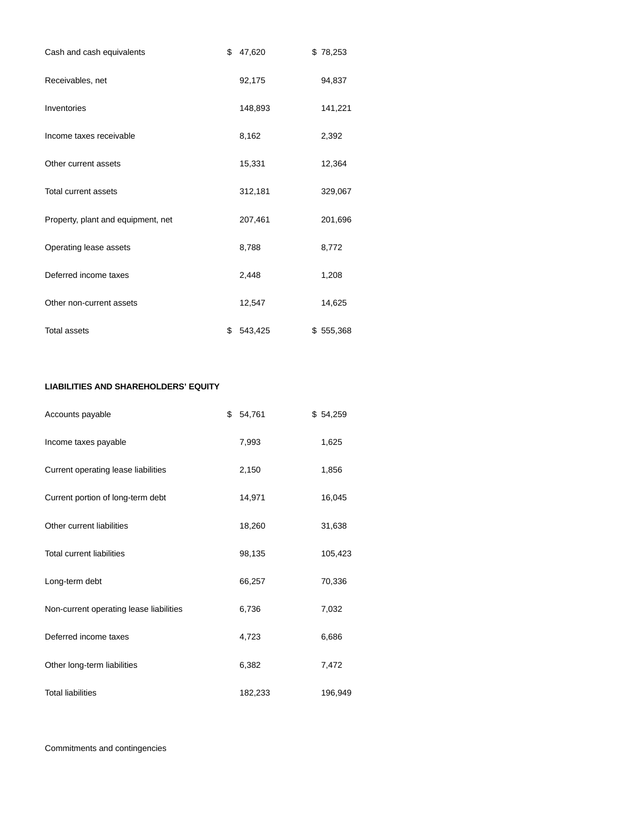| Cash and cash equivalents          | \$<br>47,620  | \$78,253  |
|------------------------------------|---------------|-----------|
| Receivables, net                   | 92,175        | 94,837    |
| Inventories                        | 148,893       | 141,221   |
| Income taxes receivable            | 8,162         | 2,392     |
| Other current assets               | 15,331        | 12,364    |
| Total current assets               | 312,181       | 329,067   |
| Property, plant and equipment, net | 207,461       | 201,696   |
| Operating lease assets             | 8,788         | 8,772     |
| Deferred income taxes              | 2,448         | 1,208     |
| Other non-current assets           | 12,547        | 14,625    |
| <b>Total assets</b>                | \$<br>543,425 | \$555,368 |

### **LIABILITIES AND SHAREHOLDERS' EQUITY**

| Accounts payable                        | \$<br>54,761 | \$54,259 |
|-----------------------------------------|--------------|----------|
| Income taxes payable                    | 7,993        | 1,625    |
| Current operating lease liabilities     | 2,150        | 1,856    |
| Current portion of long-term debt       | 14,971       | 16,045   |
| Other current liabilities               | 18,260       | 31,638   |
| <b>Total current liabilities</b>        | 98,135       | 105,423  |
| Long-term debt                          | 66,257       | 70,336   |
| Non-current operating lease liabilities | 6,736        | 7,032    |
| Deferred income taxes                   | 4,723        | 6,686    |
| Other long-term liabilities             | 6,382        | 7,472    |
| <b>Total liabilities</b>                | 182,233      | 196,949  |

Commitments and contingencies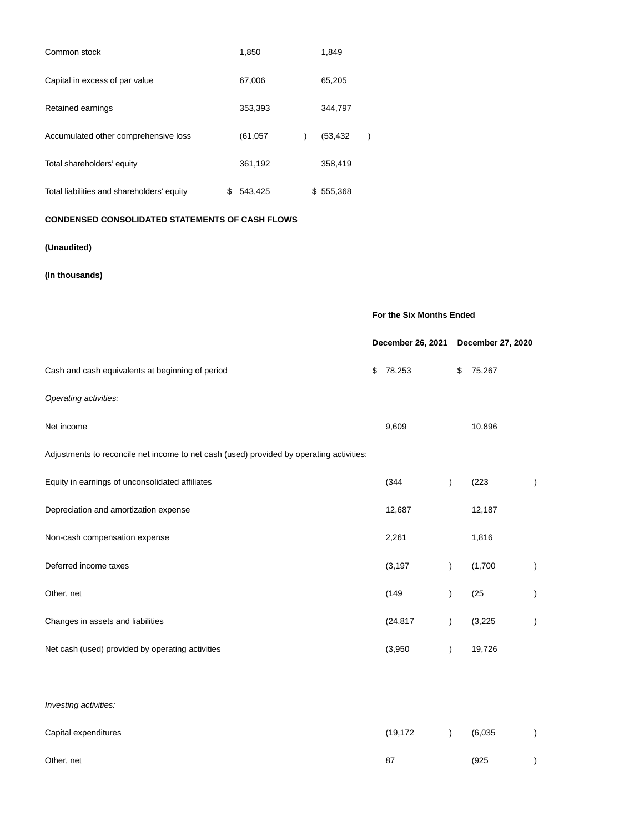| Common stock                               | 1,850         | 1,849     |  |
|--------------------------------------------|---------------|-----------|--|
| Capital in excess of par value             | 67,006        | 65,205    |  |
| Retained earnings                          | 353,393       | 344,797   |  |
| Accumulated other comprehensive loss       | (61, 057)     | (53, 432) |  |
| Total shareholders' equity                 | 361,192       | 358,419   |  |
| Total liabilities and shareholders' equity | \$<br>543,425 | \$555,368 |  |

### **CONDENSED CONSOLIDATED STATEMENTS OF CASH FLOWS**

# **(Unaudited)**

# **(In thousands)**

|                                                                                          | For the Six Months Ended |                   |  |
|------------------------------------------------------------------------------------------|--------------------------|-------------------|--|
|                                                                                          | December 26, 2021        | December 27, 2020 |  |
| Cash and cash equivalents at beginning of period                                         | \$<br>78,253             | \$<br>75,267      |  |
| Operating activities:                                                                    |                          |                   |  |
| Net income                                                                               | 9,609                    | 10,896            |  |
| Adjustments to reconcile net income to net cash (used) provided by operating activities: |                          |                   |  |
| Equity in earnings of unconsolidated affiliates                                          | (344)                    | (223)             |  |
| Depreciation and amortization expense                                                    | 12,687                   | 12,187            |  |
| Non-cash compensation expense                                                            | 2,261                    | 1,816             |  |
| Deferred income taxes                                                                    | (3, 197)                 | (1,700)           |  |
| Other, net                                                                               | (149)                    | (25)              |  |
| Changes in assets and liabilities                                                        | (24, 817)                | (3,225)           |  |
| Net cash (used) provided by operating activities                                         | (3,950)                  | 19,726            |  |

### Investing activities:

| Capital expenditures | (19, 172) | (6,035) |  |
|----------------------|-----------|---------|--|
| Other, net           | 87        | (925    |  |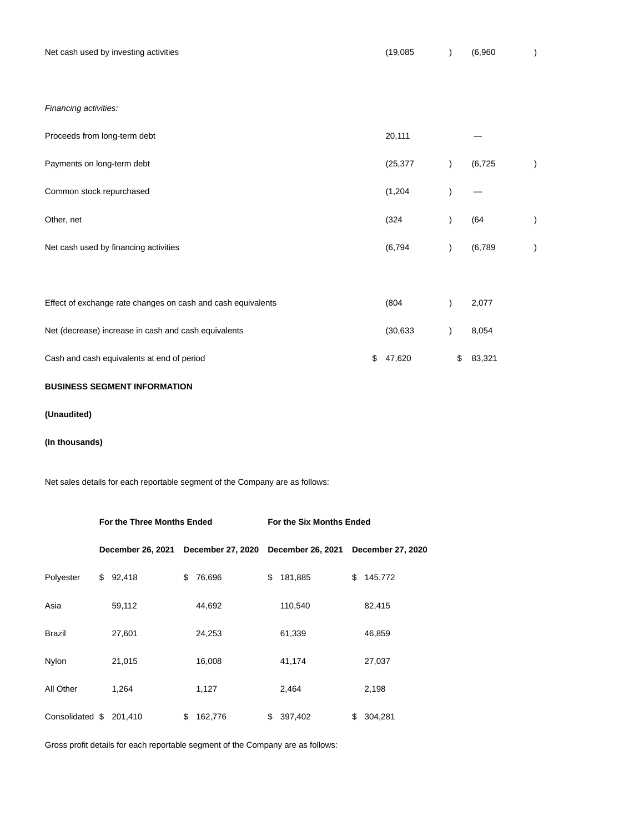| Net cash used by investing activities                        | (19,085)     |               | (6,960)  |  |
|--------------------------------------------------------------|--------------|---------------|----------|--|
|                                                              |              |               |          |  |
| Financing activities:                                        |              |               |          |  |
| Proceeds from long-term debt                                 | 20,111       |               |          |  |
| Payments on long-term debt                                   | (25, 377)    | $\mathcal{E}$ | (6, 725) |  |
| Common stock repurchased                                     | (1,204)      |               |          |  |
| Other, net                                                   | (324)        |               | (64)     |  |
| Net cash used by financing activities                        | (6, 794)     |               | (6,789)  |  |
|                                                              |              |               |          |  |
| Effect of exchange rate changes on cash and cash equivalents | (804)        |               | 2,077    |  |
| Net (decrease) increase in cash and cash equivalents         | (30, 633)    |               | 8,054    |  |
| Cash and cash equivalents at end of period                   | \$<br>47,620 | \$            | 83,321   |  |

### **BUSINESS SEGMENT INFORMATION**

### **(Unaudited)**

### **(In thousands)**

Net sales details for each reportable segment of the Company are as follows:

|                 | For the Three Months Ended |    |                   | For the Six Months Ended |                   |    |                          |  |  |  |
|-----------------|----------------------------|----|-------------------|--------------------------|-------------------|----|--------------------------|--|--|--|
|                 | <b>December 26, 2021</b>   |    | December 27, 2020 |                          | December 26, 2021 |    | <b>December 27, 2020</b> |  |  |  |
| Polyester       | \$<br>92,418               | \$ | 76,696            | \$                       | 181,885           | \$ | 145,772                  |  |  |  |
| Asia            | 59,112                     |    | 44,692            |                          | 110,540           |    | 82,415                   |  |  |  |
| <b>Brazil</b>   | 27,601                     |    | 24,253            |                          | 61,339            |    | 46,859                   |  |  |  |
| Nylon           | 21,015                     |    | 16,008            |                          | 41,174            |    | 27,037                   |  |  |  |
| All Other       | 1,264                      |    | 1,127             |                          | 2,464             |    | 2,198                    |  |  |  |
| Consolidated \$ | 201,410                    | \$ | 162,776           | \$                       | 397,402           | \$ | 304,281                  |  |  |  |

Gross profit details for each reportable segment of the Company are as follows: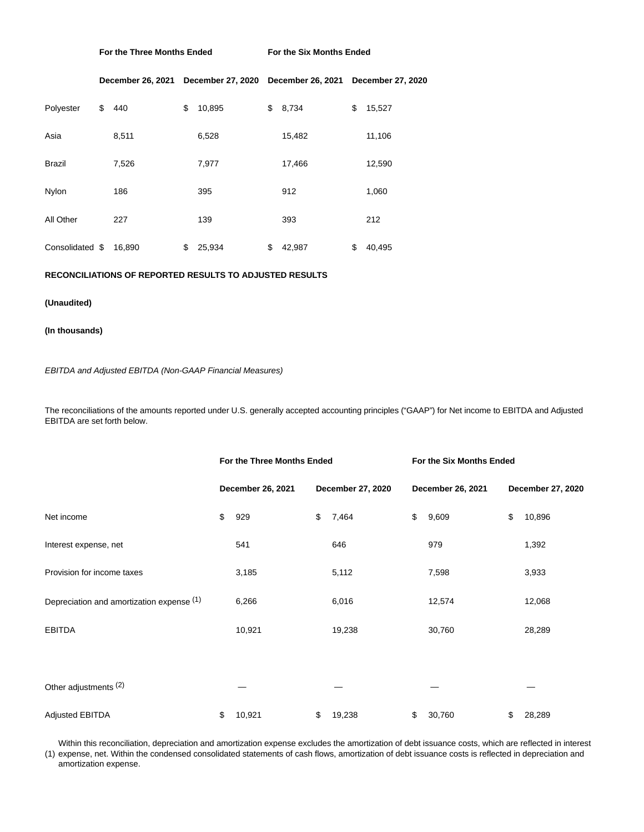**For the Three Months Ended For the Six Months Ended**

|                 | December 26, 2021 | December 27, 2020 December 26, 2021 |              | <b>December 27, 2020</b> |
|-----------------|-------------------|-------------------------------------|--------------|--------------------------|
| \$<br>Polyester | 440               | \$<br>10,895                        | \$<br>8,734  | \$<br>15,527             |
| Asia            | 8,511             | 6,528                               | 15,482       | 11,106                   |
| Brazil          | 7,526             | 7,977                               | 17,466       | 12,590                   |
| Nylon           | 186               | 395                                 | 912          | 1,060                    |
| All Other       | 227               | 139                                 | 393          | 212                      |
| Consolidated \$ | 16,890            | \$<br>25,934                        | \$<br>42,987 | \$<br>40,495             |

### **RECONCILIATIONS OF REPORTED RESULTS TO ADJUSTED RESULTS**

#### **(Unaudited)**

### **(In thousands)**

EBITDA and Adjusted EBITDA (Non-GAAP Financial Measures)

The reconciliations of the amounts reported under U.S. generally accepted accounting principles ("GAAP") for Net income to EBITDA and Adjusted EBITDA are set forth below.

|                                           | For the Three Months Ended |                   | For the Six Months Ended |                   |
|-------------------------------------------|----------------------------|-------------------|--------------------------|-------------------|
|                                           | December 26, 2021          | December 27, 2020 | December 26, 2021        | December 27, 2020 |
| Net income                                | \$<br>929                  | \$<br>7,464       | \$<br>9,609              | \$<br>10,896      |
| Interest expense, net                     | 541                        | 646               | 979                      | 1,392             |
| Provision for income taxes                | 3,185                      | 5,112             | 7,598                    | 3,933             |
| Depreciation and amortization expense (1) | 6,266                      | 6,016             | 12,574                   | 12,068            |
| <b>EBITDA</b>                             | 10,921                     | 19,238            | 30,760                   | 28,289            |
|                                           |                            |                   |                          |                   |
| Other adjustments <sup>(2)</sup>          |                            |                   |                          |                   |
| <b>Adjusted EBITDA</b>                    | \$<br>10,921               | \$<br>19,238      | \$<br>30,760             | \$<br>28,289      |

(1) expense, net. Within the condensed consolidated statements of cash flows, amortization of debt issuance costs is reflected in depreciation and Within this reconciliation, depreciation and amortization expense excludes the amortization of debt issuance costs, which are reflected in interest amortization expense.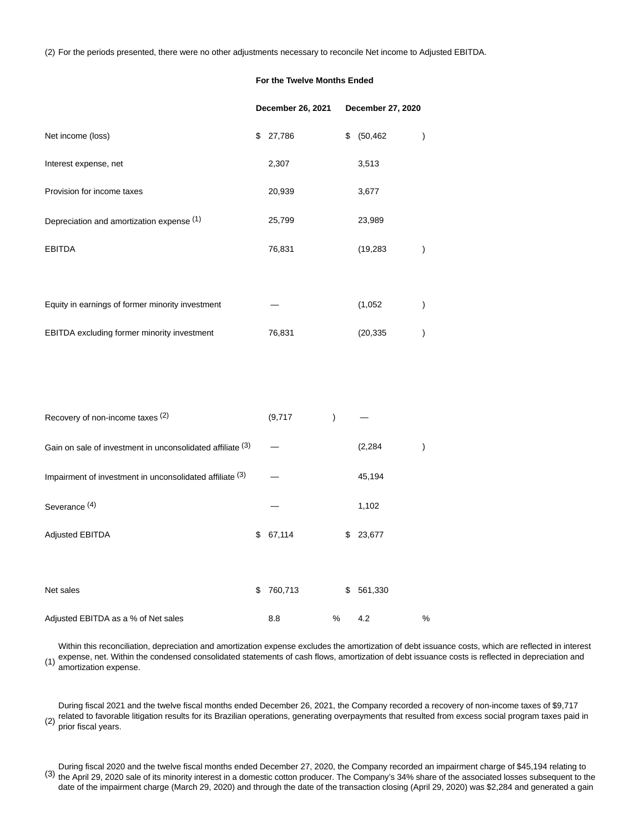(2) For the periods presented, there were no other adjustments necessary to reconcile Net income to Adjusted EBITDA.

### **For the Twelve Months Ended**

|                                                            | December 26, 2021 |               | December 27, 2020 |               |
|------------------------------------------------------------|-------------------|---------------|-------------------|---------------|
| Net income (loss)                                          | \$27,786          | \$            | (50, 462)         |               |
| Interest expense, net                                      | 2,307             |               | 3,513             |               |
| Provision for income taxes                                 | 20,939            |               | 3,677             |               |
| Depreciation and amortization expense (1)                  | 25,799            |               | 23,989            |               |
| <b>EBITDA</b>                                              | 76,831            |               | (19, 283)         | $\mathcal{E}$ |
|                                                            |                   |               |                   |               |
| Equity in earnings of former minority investment           |                   |               | (1,052)           | $\mathcal{E}$ |
| EBITDA excluding former minority investment                | 76,831            |               | (20, 335)         |               |
|                                                            |                   |               |                   |               |
|                                                            |                   |               |                   |               |
| Recovery of non-income taxes (2)                           | (9,717)           | $\mathcal{E}$ |                   |               |
| Gain on sale of investment in unconsolidated affiliate (3) |                   |               | (2, 284)          |               |
| Impairment of investment in unconsolidated affiliate (3)   |                   |               | 45,194            |               |

| Severance <sup>(4)</sup>            |               |    | 1,102    |   |
|-------------------------------------|---------------|----|----------|---|
| Adjusted EBITDA                     | \$67,114      |    | \$23,677 |   |
| Net sales                           | \$<br>760,713 | \$ | 561,330  |   |
| Adjusted EBITDA as a % of Net sales | 8.8           | %  | 4.2      | % |

(1) Within this reconciliation, depreciation and amortization expense excludes the amortization of debt issuance costs, which are reflected in interest expense, net. Within the condensed consolidated statements of cash flows, amortization of debt issuance costs is reflected in depreciation and amortization expense.

(2) During fiscal 2021 and the twelve fiscal months ended December 26, 2021, the Company recorded a recovery of non-income taxes of \$9,717 related to favorable litigation results for its Brazilian operations, generating overpayments that resulted from excess social program taxes paid in prior fiscal years.

(3) During fiscal 2020 and the twelve fiscal months ended December 27, 2020, the Company recorded an impairment charge of \$45,194 relating to the April 29, 2020 sale of its minority interest in a domestic cotton producer. The Company's 34% share of the associated losses subsequent to the date of the impairment charge (March 29, 2020) and through the date of the transaction closing (April 29, 2020) was \$2,284 and generated a gain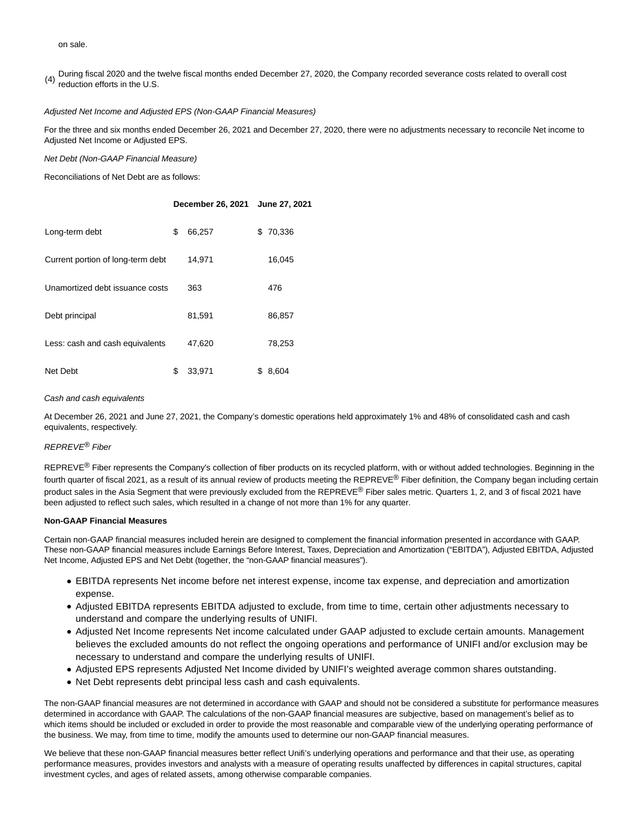on sale.

(4) During fiscal 2020 and the twelve fiscal months ended December 27, 2020, the Company recorded severance costs related to overall cost reduction efforts in the U.S.

### Adjusted Net Income and Adjusted EPS (Non-GAAP Financial Measures)

For the three and six months ended December 26, 2021 and December 27, 2020, there were no adjustments necessary to reconcile Net income to Adjusted Net Income or Adjusted EPS.

Net Debt (Non-GAAP Financial Measure)

Reconciliations of Net Debt are as follows:

|                                   | December 26, 2021 |    | June 27, 2021 |
|-----------------------------------|-------------------|----|---------------|
| Long-term debt                    | \$<br>66,257      | \$ | 70,336        |
| Current portion of long-term debt | 14,971            |    | 16,045        |
| Unamortized debt issuance costs   | 363               |    | 476           |
| Debt principal                    | 81,591            |    | 86,857        |
| Less: cash and cash equivalents   | 47,620            |    | 78,253        |
| Net Debt                          | \$<br>33.971      | S  | 8,604         |

#### Cash and cash equivalents

At December 26, 2021 and June 27, 2021, the Company's domestic operations held approximately 1% and 48% of consolidated cash and cash equivalents, respectively.

### REPREVE® Fiber

REPREVE<sup>®</sup> Fiber represents the Company's collection of fiber products on its recycled platform, with or without added technologies. Beginning in the fourth quarter of fiscal 2021, as a result of its annual review of products meeting the REPREVE® Fiber definition, the Company began including certain product sales in the Asia Segment that were previously excluded from the REPREVE® Fiber sales metric. Quarters 1, 2, and 3 of fiscal 2021 have been adjusted to reflect such sales, which resulted in a change of not more than 1% for any quarter.

#### **Non-GAAP Financial Measures**

Certain non-GAAP financial measures included herein are designed to complement the financial information presented in accordance with GAAP. These non-GAAP financial measures include Earnings Before Interest, Taxes, Depreciation and Amortization ("EBITDA"), Adjusted EBITDA, Adjusted Net Income, Adjusted EPS and Net Debt (together, the "non-GAAP financial measures").

- EBITDA represents Net income before net interest expense, income tax expense, and depreciation and amortization expense.
- Adjusted EBITDA represents EBITDA adjusted to exclude, from time to time, certain other adjustments necessary to understand and compare the underlying results of UNIFI.
- Adjusted Net Income represents Net income calculated under GAAP adjusted to exclude certain amounts. Management believes the excluded amounts do not reflect the ongoing operations and performance of UNIFI and/or exclusion may be necessary to understand and compare the underlying results of UNIFI.
- Adjusted EPS represents Adjusted Net Income divided by UNIFI's weighted average common shares outstanding.
- Net Debt represents debt principal less cash and cash equivalents.

The non-GAAP financial measures are not determined in accordance with GAAP and should not be considered a substitute for performance measures determined in accordance with GAAP. The calculations of the non-GAAP financial measures are subjective, based on management's belief as to which items should be included or excluded in order to provide the most reasonable and comparable view of the underlying operating performance of the business. We may, from time to time, modify the amounts used to determine our non-GAAP financial measures.

We believe that these non-GAAP financial measures better reflect Unifi's underlying operations and performance and that their use, as operating performance measures, provides investors and analysts with a measure of operating results unaffected by differences in capital structures, capital investment cycles, and ages of related assets, among otherwise comparable companies.